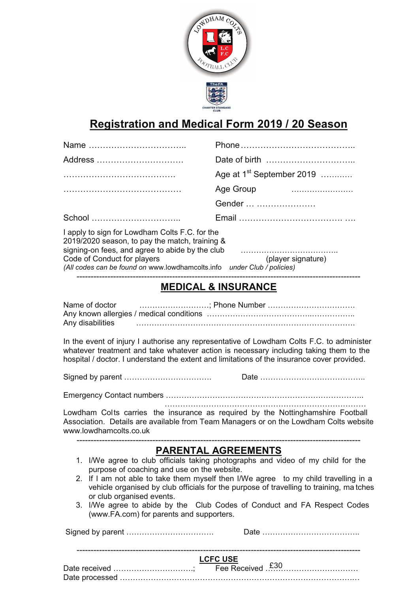

## **Registration and Medical Form 2019 / 20 Season**

| Address                                                                                                                                                                                                                                                                |                                                                                                                                                                                                                                                                                                                                                |
|------------------------------------------------------------------------------------------------------------------------------------------------------------------------------------------------------------------------------------------------------------------------|------------------------------------------------------------------------------------------------------------------------------------------------------------------------------------------------------------------------------------------------------------------------------------------------------------------------------------------------|
|                                                                                                                                                                                                                                                                        | Age at 1 <sup>st</sup> September 2019                                                                                                                                                                                                                                                                                                          |
|                                                                                                                                                                                                                                                                        | Age Group                                                                                                                                                                                                                                                                                                                                      |
|                                                                                                                                                                                                                                                                        | Gender                                                                                                                                                                                                                                                                                                                                         |
| School                                                                                                                                                                                                                                                                 |                                                                                                                                                                                                                                                                                                                                                |
| I apply to sign for Lowdham Colts F.C. for the<br>2019/2020 season, to pay the match, training &<br>signing-on fees, and agree to abide by the club<br>Code of Conduct for players<br>(All codes can be found on www.lowdhamcolts.info under Club $\ddot{/}$ policies) | (player signature)                                                                                                                                                                                                                                                                                                                             |
|                                                                                                                                                                                                                                                                        | <b>MEDICAL &amp; INSURANCE</b>                                                                                                                                                                                                                                                                                                                 |
| Name of doctor<br>Any disabilities                                                                                                                                                                                                                                     |                                                                                                                                                                                                                                                                                                                                                |
|                                                                                                                                                                                                                                                                        | In the event of injury I authorise any representative of Lowdham Colts F.C. to administer<br>whatever treatment and take whatever action is necessary including taking them to the<br>hospital / doctor. I understand the extent and limitations of the insurance cover provided.                                                              |
|                                                                                                                                                                                                                                                                        |                                                                                                                                                                                                                                                                                                                                                |
|                                                                                                                                                                                                                                                                        |                                                                                                                                                                                                                                                                                                                                                |
| www.lowdhamcolts.co.uk                                                                                                                                                                                                                                                 | Lowdham Colts carries the insurance as required by the Nottinghamshire Football<br>Association. Details are available from Team Managers or on the Lowdham Colts website                                                                                                                                                                       |
|                                                                                                                                                                                                                                                                        | <b>PARENTAL AGREEMENTS</b>                                                                                                                                                                                                                                                                                                                     |
| purpose of coaching and use on the website.<br>or club organised events.<br>(www.FA.com) for parents and supporters.                                                                                                                                                   | 1. I/We agree to club officials taking photographs and video of my child for the<br>2. If I am not able to take them myself then I/We agree to my child travelling in a<br>vehicle organised by club officials for the purpose of travelling to training, ma tches<br>3. I/We agree to abide by the Club Codes of Conduct and FA Respect Codes |
|                                                                                                                                                                                                                                                                        |                                                                                                                                                                                                                                                                                                                                                |
|                                                                                                                                                                                                                                                                        | <b>LCFC USE</b>                                                                                                                                                                                                                                                                                                                                |